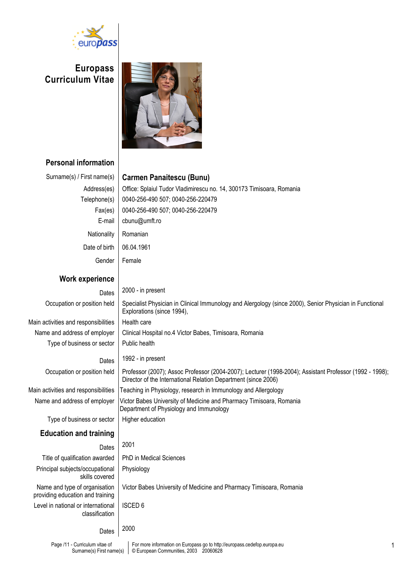

Europass Curriculum Vitae



# Personal information

Surname(s) First name(s)

| Surname(s) / First name(s)                                        | <b>Carmen Panaitescu (Bunu)</b>                                                                                                                                           |
|-------------------------------------------------------------------|---------------------------------------------------------------------------------------------------------------------------------------------------------------------------|
| Address(es)                                                       | Office: Splaiul Tudor Vladimirescu no. 14, 300173 Timisoara, Romania                                                                                                      |
| Telephone(s)                                                      | 0040-256-490 507; 0040-256-220479                                                                                                                                         |
| Fax(es)                                                           | 0040-256-490 507; 0040-256-220479                                                                                                                                         |
| E-mail                                                            | cbunu@umft.ro                                                                                                                                                             |
| Nationality                                                       | Romanian                                                                                                                                                                  |
| Date of birth                                                     | 06.04.1961                                                                                                                                                                |
| Gender                                                            | Female                                                                                                                                                                    |
| <b>Work experience</b>                                            |                                                                                                                                                                           |
| Dates                                                             | 2000 - in present                                                                                                                                                         |
| Occupation or position held                                       | Specialist Physician in Clinical Immunology and Alergology (since 2000), Senior Physician in Functional<br>Explorations (since 1994),                                     |
| Main activities and responsibilities                              | Health care                                                                                                                                                               |
| Name and address of employer                                      | Clinical Hospital no.4 Victor Babes, Timisoara, Romania                                                                                                                   |
| Type of business or sector                                        | Public health                                                                                                                                                             |
| Dates                                                             | 1992 - in present                                                                                                                                                         |
| Occupation or position held                                       | Professor (2007); Assoc Professor (2004-2007); Lecturer (1998-2004); Assistant Professor (1992 - 1998);<br>Director of the International Relation Department (since 2006) |
| Main activities and responsibilities                              | Teaching in Physiology, research in Immunology and Allergology                                                                                                            |
| Name and address of employer                                      | Victor Babes University of Medicine and Pharmacy Timisoara, Romania<br>Department of Physiology and Immunology                                                            |
| Type of business or sector                                        | Higher education                                                                                                                                                          |
| <b>Education and training</b>                                     |                                                                                                                                                                           |
| Dates                                                             | 2001                                                                                                                                                                      |
| Title of qualification awarded                                    | PhD in Medical Sciences                                                                                                                                                   |
| Principal subjects/occupational<br>skills covered                 | Physiology                                                                                                                                                                |
| Name and type of organisation<br>providing education and training | Victor Babes University of Medicine and Pharmacy Timisoara, Romania                                                                                                       |
| Level in national or international<br>classification              | <b>ISCED 6</b>                                                                                                                                                            |
| Dates                                                             | 2000                                                                                                                                                                      |
| Page /11 - Curriculum vitae of                                    | For more information on Europass go to http://europass.cedefop.europa.eu                                                                                                  |

© European Communities, 2003 20060628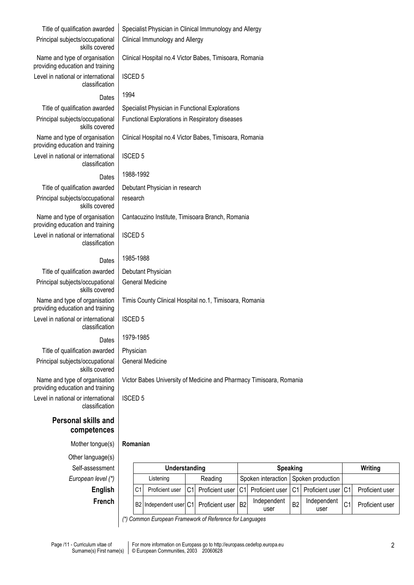| Title of qualification awarded                                    |                                                                     | Specialist Physician in Clinical Immunology and Allergy |                |                 |                |                     |                |                     |                |                 |
|-------------------------------------------------------------------|---------------------------------------------------------------------|---------------------------------------------------------|----------------|-----------------|----------------|---------------------|----------------|---------------------|----------------|-----------------|
| Principal subjects/occupational<br>skills covered                 | Clinical Immunology and Allergy                                     |                                                         |                |                 |                |                     |                |                     |                |                 |
| Name and type of organisation<br>providing education and training | Clinical Hospital no.4 Victor Babes, Timisoara, Romania             |                                                         |                |                 |                |                     |                |                     |                |                 |
| Level in national or international<br>classification              | <b>ISCED 5</b>                                                      |                                                         |                |                 |                |                     |                |                     |                |                 |
| Dates                                                             | 1994                                                                |                                                         |                |                 |                |                     |                |                     |                |                 |
| Title of qualification awarded                                    |                                                                     | Specialist Physician in Functional Explorations         |                |                 |                |                     |                |                     |                |                 |
| Principal subjects/occupational<br>skills covered                 | Functional Explorations in Respiratory diseases                     |                                                         |                |                 |                |                     |                |                     |                |                 |
| Name and type of organisation<br>providing education and training |                                                                     | Clinical Hospital no.4 Victor Babes, Timisoara, Romania |                |                 |                |                     |                |                     |                |                 |
| Level in national or international<br>classification              |                                                                     | <b>ISCED 5</b>                                          |                |                 |                |                     |                |                     |                |                 |
| Dates                                                             | 1988-1992                                                           |                                                         |                |                 |                |                     |                |                     |                |                 |
| Title of qualification awarded                                    |                                                                     | Debutant Physician in research                          |                |                 |                |                     |                |                     |                |                 |
| Principal subjects/occupational<br>skills covered                 |                                                                     | research                                                |                |                 |                |                     |                |                     |                |                 |
| Name and type of organisation<br>providing education and training | Cantacuzino Institute, Timisoara Branch, Romania                    |                                                         |                |                 |                |                     |                |                     |                |                 |
| Level in national or international<br>classification              | <b>ISCED 5</b>                                                      |                                                         |                |                 |                |                     |                |                     |                |                 |
| Dates                                                             | 1985-1988                                                           |                                                         |                |                 |                |                     |                |                     |                |                 |
| Title of qualification awarded                                    |                                                                     | Debutant Physician                                      |                |                 |                |                     |                |                     |                |                 |
| Principal subjects/occupational<br>skills covered                 |                                                                     | <b>General Medicine</b>                                 |                |                 |                |                     |                |                     |                |                 |
| Name and type of organisation<br>providing education and training | Timis County Clinical Hospital no.1, Timisoara, Romania             |                                                         |                |                 |                |                     |                |                     |                |                 |
| Level in national or international<br>classification              |                                                                     | <b>ISCED 5</b>                                          |                |                 |                |                     |                |                     |                |                 |
| Dates                                                             | 1979-1985                                                           |                                                         |                |                 |                |                     |                |                     |                |                 |
| Title of qualification awarded                                    | Physician                                                           |                                                         |                |                 |                |                     |                |                     |                |                 |
| Principal subjects/occupational<br>skills covered                 | <b>General Medicine</b>                                             |                                                         |                |                 |                |                     |                |                     |                |                 |
| Name and type of organisation<br>providing education and training | Victor Babes University of Medicine and Pharmacy Timisoara, Romania |                                                         |                |                 |                |                     |                |                     |                |                 |
| Level in national or international<br>classification              | <b>ISCED 5</b>                                                      |                                                         |                |                 |                |                     |                |                     |                |                 |
| <b>Personal skills and</b><br>competences                         |                                                                     |                                                         |                |                 |                |                     |                |                     |                |                 |
| Mother tongue(s)                                                  | Romanian                                                            |                                                         |                |                 |                |                     |                |                     |                |                 |
| Other language(s)                                                 |                                                                     |                                                         |                |                 |                |                     |                |                     |                |                 |
| Self-assessment                                                   |                                                                     | Understanding                                           |                |                 |                | <b>Speaking</b>     |                |                     |                | Writing         |
| European level (*)                                                |                                                                     | Listening                                               |                | Reading         |                | Spoken interaction  |                | Spoken production   |                |                 |
| <b>English</b>                                                    | C <sub>1</sub>                                                      | Proficient user                                         | C <sub>1</sub> | Proficient user | C <sub>1</sub> | Proficient user     | C <sub>1</sub> | Proficient user     | C <sub>1</sub> | Proficient user |
| French                                                            |                                                                     | B2 Independent user C1                                  |                | Proficient user | B <sub>2</sub> | Independent<br>user | B <sub>2</sub> | Independent<br>user | C <sub>1</sub> | Proficient user |

(\*) Common European Framework of Reference for Languages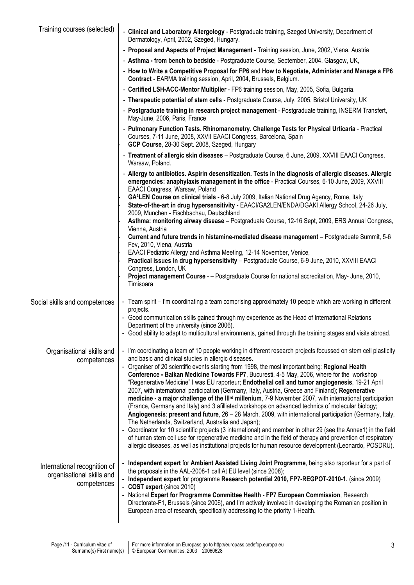| Training courses (selected)                                              | - Clinical and Laboratory Allergology - Postgraduate training, Szeged University, Department of<br>Dermatology, April, 2002, Szeged, Hungary.                                                                                                                                                                                                                                                                                                                                                                                                                                                                                                                                                                                                                                                                                                                                                                                                                                                                                                                                                                                                         |  |  |  |  |  |  |
|--------------------------------------------------------------------------|-------------------------------------------------------------------------------------------------------------------------------------------------------------------------------------------------------------------------------------------------------------------------------------------------------------------------------------------------------------------------------------------------------------------------------------------------------------------------------------------------------------------------------------------------------------------------------------------------------------------------------------------------------------------------------------------------------------------------------------------------------------------------------------------------------------------------------------------------------------------------------------------------------------------------------------------------------------------------------------------------------------------------------------------------------------------------------------------------------------------------------------------------------|--|--|--|--|--|--|
|                                                                          | - Proposal and Aspects of Project Management - Training session, June, 2002, Viena, Austria                                                                                                                                                                                                                                                                                                                                                                                                                                                                                                                                                                                                                                                                                                                                                                                                                                                                                                                                                                                                                                                           |  |  |  |  |  |  |
|                                                                          | - Asthma - from bench to bedside - Postgraduate Course, September, 2004, Glasgow, UK,                                                                                                                                                                                                                                                                                                                                                                                                                                                                                                                                                                                                                                                                                                                                                                                                                                                                                                                                                                                                                                                                 |  |  |  |  |  |  |
|                                                                          | - How to Write a Competitive Proposal for FP6 and How to Negotiate, Administer and Manage a FP6<br>Contract - EARMA training session, April, 2004, Brussels, Belgium.                                                                                                                                                                                                                                                                                                                                                                                                                                                                                                                                                                                                                                                                                                                                                                                                                                                                                                                                                                                 |  |  |  |  |  |  |
|                                                                          | - Certified LSH-ACC-Mentor Multiplier - FP6 training session, May, 2005, Sofia, Bulgaria.                                                                                                                                                                                                                                                                                                                                                                                                                                                                                                                                                                                                                                                                                                                                                                                                                                                                                                                                                                                                                                                             |  |  |  |  |  |  |
|                                                                          | - Therapeutic potential of stem cells - Postgraduate Course, July, 2005, Bristol University, UK                                                                                                                                                                                                                                                                                                                                                                                                                                                                                                                                                                                                                                                                                                                                                                                                                                                                                                                                                                                                                                                       |  |  |  |  |  |  |
|                                                                          | - Postgraduate training in research project management - Postgraduate training, INSERM Transfert,<br>May-June, 2006, Paris, France                                                                                                                                                                                                                                                                                                                                                                                                                                                                                                                                                                                                                                                                                                                                                                                                                                                                                                                                                                                                                    |  |  |  |  |  |  |
|                                                                          | - Pulmonary Function Tests. Rhinomanometry. Challenge Tests for Physical Urticaria - Practical<br>Courses, 7-11 June, 2008, XXVII EAACI Congress, Barcelona, Spain<br>GCP Course, 28-30 Sept. 2008, Szeged, Hungary                                                                                                                                                                                                                                                                                                                                                                                                                                                                                                                                                                                                                                                                                                                                                                                                                                                                                                                                   |  |  |  |  |  |  |
|                                                                          | - Treatment of allergic skin diseases - Postgraduate Course, 6 June, 2009, XXVIII EAACI Congress,<br>Warsaw, Poland.                                                                                                                                                                                                                                                                                                                                                                                                                                                                                                                                                                                                                                                                                                                                                                                                                                                                                                                                                                                                                                  |  |  |  |  |  |  |
|                                                                          | - Allergy to antibiotics. Aspirin desensitization. Tests in the diagnosis of allergic diseases. Allergic<br>emergencies: anaphylaxis management in the office - Practical Courses, 6-10 June, 2009, XXVIII<br>EAACI Congress, Warsaw, Poland<br>GA <sup>2</sup> LEN Course on clinical trials - 6-8 July 2009, Italian National Drug Agency, Rome, Italy<br>State-of-the-art in drug hypersensitivity - EAACI/GA2LEN/ENDA/DGAKI Allergy School, 24-26 July,                                                                                                                                                                                                                                                                                                                                                                                                                                                                                                                                                                                                                                                                                           |  |  |  |  |  |  |
|                                                                          | 2009, Munchen - Fischbachau, Deutschland<br>Asthma: monitoring airway disease - Postgraduate Course, 12-16 Sept, 2009, ERS Annual Congress,<br>Vienna, Austria                                                                                                                                                                                                                                                                                                                                                                                                                                                                                                                                                                                                                                                                                                                                                                                                                                                                                                                                                                                        |  |  |  |  |  |  |
|                                                                          | Current and future trends in histamine-mediated disease management - Postgraduate Summit, 5-6<br>Fev, 2010, Viena, Austria                                                                                                                                                                                                                                                                                                                                                                                                                                                                                                                                                                                                                                                                                                                                                                                                                                                                                                                                                                                                                            |  |  |  |  |  |  |
|                                                                          | EAACI Pediatric Allergy and Asthma Meeting, 12-14 November, Venice,<br>Practical issues in drug hypersensitivity - Postgraduate Course, 6-9 June, 2010, XXVIII EAACI<br>Congress, London, UK                                                                                                                                                                                                                                                                                                                                                                                                                                                                                                                                                                                                                                                                                                                                                                                                                                                                                                                                                          |  |  |  |  |  |  |
|                                                                          | Project management Course - - Postgraduate Course for national accreditation, May- June, 2010,<br>Timisoara                                                                                                                                                                                                                                                                                                                                                                                                                                                                                                                                                                                                                                                                                                                                                                                                                                                                                                                                                                                                                                           |  |  |  |  |  |  |
| Social skills and competences                                            | - Team spirit – I'm coordinating a team comprising approximately 10 people which are working in different<br>projects.                                                                                                                                                                                                                                                                                                                                                                                                                                                                                                                                                                                                                                                                                                                                                                                                                                                                                                                                                                                                                                |  |  |  |  |  |  |
|                                                                          | - Good communication skills gained through my experience as the Head of International Relations<br>Department of the university (since 2006).                                                                                                                                                                                                                                                                                                                                                                                                                                                                                                                                                                                                                                                                                                                                                                                                                                                                                                                                                                                                         |  |  |  |  |  |  |
|                                                                          | - Good ability to adapt to multicultural environments, gained through the training stages and visits abroad.                                                                                                                                                                                                                                                                                                                                                                                                                                                                                                                                                                                                                                                                                                                                                                                                                                                                                                                                                                                                                                          |  |  |  |  |  |  |
| Organisational skills and<br>competences                                 | - I'm coordinating a team of 10 people working in different research projects focussed on stem cell plasticity<br>and basic and clinical studies in allergic diseases.                                                                                                                                                                                                                                                                                                                                                                                                                                                                                                                                                                                                                                                                                                                                                                                                                                                                                                                                                                                |  |  |  |  |  |  |
|                                                                          | - Organiser of 20 scientific events starting from 1998, the most important being: Regional Health<br>Conference - Balkan Medicine Towards FP7, Bucuresti, 4-5 May, 2006, where for the workshop<br>"Regenerative Medicine" I was EU raporteur; Endothelial cell and tumor angiogenesis, 19-21 April<br>2007, with international participation (Germany, Italy, Austria, Greece and Finland); Regenerative<br>medicine - a major challenge of the III <sup>rd</sup> millenium, 7-9 November 2007, with international participation<br>(France, Germany and Italy) and 3 afilliated workshops on advanced technics of molecular biology;<br>Angiogenesis: present and future, 26 - 28 March, 2009, with international participation (Germany, Italy,<br>The Netherlands, Switzerland, Australia and Japan);<br>- Coordinator for 10 scientific projects (3 international) and member in other 29 (see the Annex1) in the field<br>of human stem cell use for regenerative medicine and in the field of therapy and prevention of respiratory<br>allergic diseases, as well as institutional projects for human resource development (Leonardo, POSDRU). |  |  |  |  |  |  |
| International recognition of<br>organisational skills and<br>competences | Independent expert for Ambient Assisted Living Joint Programme, being also raporteur for a part of<br>the proposals in the AAL-2008-1 call At EU level (since 2008);<br>- Independent expert for programme Research potential 2010, FP7-REGPOT-2010-1. (since 2009)<br>- COST expert (since 2010)<br>- National Expert for Programme Committee Health - FP7 European Commission, Research<br>Directorate-F1, Brussels (since 2006), and I'm actively involved in developing the Romanian position in<br>European area of research, specifically addressing to the priority 1-Health.                                                                                                                                                                                                                                                                                                                                                                                                                                                                                                                                                                  |  |  |  |  |  |  |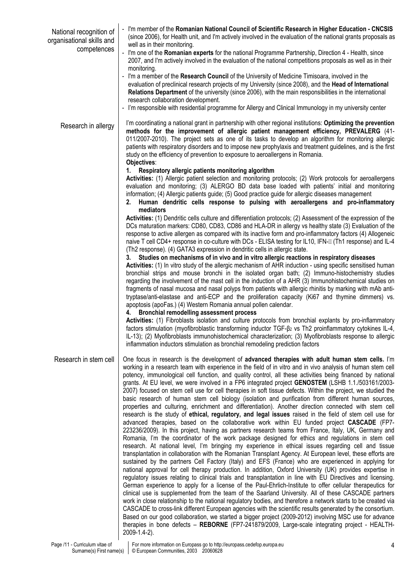| National recognition of<br>organisational skills and | - I'm member of the Romanian National Council of Scientific Research in Higher Education - CNCSIS<br>(since 2006), for Health unit, and I'm actively involved in the evaluation of the national grants proposals as<br>well as in their monitoring.                                                                                                                                                                                                                                                                                                                                                                                                                                                                                                                                                                                                                                                                                                                                                                                                                                                                                                                                                                                                                                                                                                                                                                                                                                                                                                                                                                                                                                                                                                                                                                                                                                                                                                                                                                                                                                                                                                                                                                                                                                                                                                                                                                               |
|------------------------------------------------------|-----------------------------------------------------------------------------------------------------------------------------------------------------------------------------------------------------------------------------------------------------------------------------------------------------------------------------------------------------------------------------------------------------------------------------------------------------------------------------------------------------------------------------------------------------------------------------------------------------------------------------------------------------------------------------------------------------------------------------------------------------------------------------------------------------------------------------------------------------------------------------------------------------------------------------------------------------------------------------------------------------------------------------------------------------------------------------------------------------------------------------------------------------------------------------------------------------------------------------------------------------------------------------------------------------------------------------------------------------------------------------------------------------------------------------------------------------------------------------------------------------------------------------------------------------------------------------------------------------------------------------------------------------------------------------------------------------------------------------------------------------------------------------------------------------------------------------------------------------------------------------------------------------------------------------------------------------------------------------------------------------------------------------------------------------------------------------------------------------------------------------------------------------------------------------------------------------------------------------------------------------------------------------------------------------------------------------------------------------------------------------------------------------------------------------------|
| competences                                          | - I'm one of the Romanian experts for the national Programme Partnership, Direction 4 - Health, since<br>2007, and I'm actively involved in the evaluation of the national competitions proposals as well as in their<br>monitoring.                                                                                                                                                                                                                                                                                                                                                                                                                                                                                                                                                                                                                                                                                                                                                                                                                                                                                                                                                                                                                                                                                                                                                                                                                                                                                                                                                                                                                                                                                                                                                                                                                                                                                                                                                                                                                                                                                                                                                                                                                                                                                                                                                                                              |
|                                                      | - I'm a member of the Research Council of the University of Medicine Timisoara, involved in the<br>evaluation of preclinical research projects of my University (since 2008), and the Head of International<br>Relations Department of the university (since 2006), with the main responsibilities in the international<br>research collaboration development.                                                                                                                                                                                                                                                                                                                                                                                                                                                                                                                                                                                                                                                                                                                                                                                                                                                                                                                                                                                                                                                                                                                                                                                                                                                                                                                                                                                                                                                                                                                                                                                                                                                                                                                                                                                                                                                                                                                                                                                                                                                                    |
|                                                      | - I'm responsible with residential programme for Allergy and Clinical Immunology in my university center                                                                                                                                                                                                                                                                                                                                                                                                                                                                                                                                                                                                                                                                                                                                                                                                                                                                                                                                                                                                                                                                                                                                                                                                                                                                                                                                                                                                                                                                                                                                                                                                                                                                                                                                                                                                                                                                                                                                                                                                                                                                                                                                                                                                                                                                                                                          |
| Research in allergy                                  | I'm coordinating a national grant in partnership with other regional institutions: Optimizing the prevention<br>methods for the improvement of allergic patient management efficiency, PREVALERG (41-<br>011/2007-2010). The project sets as one of its tasks to develop an algorithm for monitoring allergic<br>patients with respiratory disorders and to impose new prophylaxis and treatment guidelines, and is the first<br>study on the efficiency of prevention to exposure to aeroallergens in Romania.<br>Objectives:                                                                                                                                                                                                                                                                                                                                                                                                                                                                                                                                                                                                                                                                                                                                                                                                                                                                                                                                                                                                                                                                                                                                                                                                                                                                                                                                                                                                                                                                                                                                                                                                                                                                                                                                                                                                                                                                                                    |
|                                                      | Respiratory allergic patients monitoring algorithm<br>1.                                                                                                                                                                                                                                                                                                                                                                                                                                                                                                                                                                                                                                                                                                                                                                                                                                                                                                                                                                                                                                                                                                                                                                                                                                                                                                                                                                                                                                                                                                                                                                                                                                                                                                                                                                                                                                                                                                                                                                                                                                                                                                                                                                                                                                                                                                                                                                          |
|                                                      | Activities: (1) Allergic patient selection and monitoring protocols; (2) Work protocols for aeroallergens<br>evaluation and monitoring; (3) ALERGO BD data base loaded with patients' initial and monitoring<br>information; (4) Allergic patients guide; (5) Good practice guide for allergic diseases management<br>Human dendritic cells response to pulsing with aeroallergens and pro-inflammatory<br>2.                                                                                                                                                                                                                                                                                                                                                                                                                                                                                                                                                                                                                                                                                                                                                                                                                                                                                                                                                                                                                                                                                                                                                                                                                                                                                                                                                                                                                                                                                                                                                                                                                                                                                                                                                                                                                                                                                                                                                                                                                     |
|                                                      | mediators<br>Activities: (1) Dendritic cells culture and differentiation protocols; (2) Assessment of the expression of the                                                                                                                                                                                                                                                                                                                                                                                                                                                                                                                                                                                                                                                                                                                                                                                                                                                                                                                                                                                                                                                                                                                                                                                                                                                                                                                                                                                                                                                                                                                                                                                                                                                                                                                                                                                                                                                                                                                                                                                                                                                                                                                                                                                                                                                                                                       |
|                                                      | DCs maturation markers: CD80, CD83, CD86 and HLA-DR in allergy vs healthy state (3) Evaluation of the<br>response to active allergen as compared with its inactive form and pro-inflammatory factors (4) Allogeneic<br>naive T cell CD4+ response in co-culture with DCs - ELISA testing for IL10, IFN-III (Th1 response) and IL-4<br>(Th2 response). (4) GATA3 expression in dendritic cells in allergic state.                                                                                                                                                                                                                                                                                                                                                                                                                                                                                                                                                                                                                                                                                                                                                                                                                                                                                                                                                                                                                                                                                                                                                                                                                                                                                                                                                                                                                                                                                                                                                                                                                                                                                                                                                                                                                                                                                                                                                                                                                  |
|                                                      | 3. Studies on mechanisms of in vivo and in vitro allergic reactions in respiratory diseases<br>Activities: (1) In vitro study of the allergic mechanism of AHR induction - using specific sensitised human<br>bronchial strips and mouse bronchi in the isolated organ bath; (2) Immuno-histochemistry studies<br>regarding the involvement of the mast cell in the induction of a AHR (3) Immunohistochemical studies on<br>fragments of nasal mucosa and nasal polyps from patients with allergic rhinitis by marking with mAb anti-<br>tryptase/anti-elastase and anti-ECP and the proliferation capacity (Ki67 and thymine dimmers) vs.<br>apoptosis (apoFas.) (4) Western Romania annual pollen calendar.                                                                                                                                                                                                                                                                                                                                                                                                                                                                                                                                                                                                                                                                                                                                                                                                                                                                                                                                                                                                                                                                                                                                                                                                                                                                                                                                                                                                                                                                                                                                                                                                                                                                                                                    |
|                                                      | <b>Bronchial remodelling assessment process</b><br>4.<br>Activities: (1) Fibroblasts isolation and culture protocols from bronchial explants by pro-inflammatory<br>factors stimulation (myofibroblastic transforming inductor TGF- $\beta$ 2 vs Th2 proinflammatory cytokines IL-4,<br>IL-13); (2) Myofibroblasts immunohistochemical characterization; (3) Myofibroblasts response to allergic<br>inflammation inductors stimulation as bronchial remodeling prediction factors                                                                                                                                                                                                                                                                                                                                                                                                                                                                                                                                                                                                                                                                                                                                                                                                                                                                                                                                                                                                                                                                                                                                                                                                                                                                                                                                                                                                                                                                                                                                                                                                                                                                                                                                                                                                                                                                                                                                                 |
| Research in stem cell                                | One focus in research is the development of advanced therapies with adult human stem cells. I'm<br>working in a research team with experience in the field of in vitro and in vivo analysis of human stem cell<br>potency, immunological cell function, and quality control, all these activities being financed by national<br>grants. At EU level, we were involved in a FP6 integrated project GENOSTEM (LSHB 1.1./503161/2003-<br>2007) focused on stem cell use for cell therapies in soft tissue defects. Within the project, we studied the<br>basic research of human stem cell biology (isolation and purification from different human sources,<br>properties and culturing, enrichment and differentiation). Another direction connected with stem cell<br>research is the study of ethical, regulatory, and legal issues raised in the field of stem cell use for<br>advanced therapies, based on the collaborative work within EU funded project CASCADE (FP7-<br>223236/2009). In this project, having as partners research teams from France, Italy, UK, Germany and<br>Romania, I'm the coordinator of the work package designed for ethics and regulations in stem cell<br>research. At national level, I'm bringing my experience in ethical issues regarding cell and tissue<br>transplantation in collaboration with the Romanian Transplant Agency. At European level, these efforts are<br>sustained by the partners Cell Factory (Italy) and EFS (France) who are experienced in applying for<br>national approval for cell therapy production. In addition, Oxford University (UK) provides expertise in<br>regulatory issues relating to clinical trials and transplantation in line with EU Directives and licensing.<br>German experience to apply for a license of the Paul-Ehrlich-Institute to offer cellular therapeutics for<br>clinical use is supplemented from the team of the Saarland University. All of these CASCADE partners<br>work in close relationship to the national regulatory bodies, and therefore a network starts to be created via<br>CASCADE to cross-link different European agencies with the scientific results generated by the consortium.<br>Based on our good collaboration, we started a bigger project (2009-2012) involving MSC use for advance<br>therapies in bone defects - REBORNE (FP7-241879/2009, Large-scale integrating project - HEALTH-<br>2009-1.4-2). |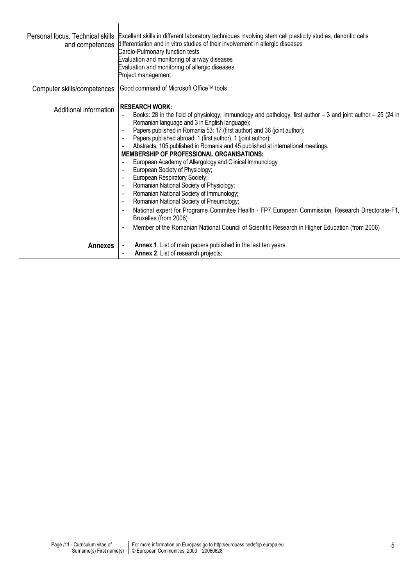| and competences        | Personal focus. Technical skills Excellent skills in different laboratory techniques involving stem cell plasticity studies, dendritic cells<br>differentiation and in vitro studies of their involvement in allergic diseases<br>Cardio-Pulmonary function tests<br>Evaluation and monitoring of airway diseases<br>Evaluation and monitoring of allergic diseases<br>Project management                                                                                                                                                                                                                                                                                                                                                                                                                                                                                                                                                                                      |
|------------------------|--------------------------------------------------------------------------------------------------------------------------------------------------------------------------------------------------------------------------------------------------------------------------------------------------------------------------------------------------------------------------------------------------------------------------------------------------------------------------------------------------------------------------------------------------------------------------------------------------------------------------------------------------------------------------------------------------------------------------------------------------------------------------------------------------------------------------------------------------------------------------------------------------------------------------------------------------------------------------------|
|                        | Computer skills/competences   Good command of Microsoft Office™ tools                                                                                                                                                                                                                                                                                                                                                                                                                                                                                                                                                                                                                                                                                                                                                                                                                                                                                                          |
| Additional information | <b>RESEARCH WORK:</b><br>Books: 28 in the field of physiology, immunology and pathology, first author $-3$ and joint author $-25$ (24 in<br>Romanian language and 3 in English language);<br>Papers published in Romania 53: 17 (first author) and 36 (joint author);<br>Papers published abroad: 1 (first author), 1 (joint author);<br>Abstracts: 105 published in Romania and 45 published at international meetings.<br><b>MEMBERSHIP OF PROFESSIONAL ORGANISATIONS:</b><br>European Academy of Allergology and Clinical Immunology<br>European Society of Physiology;<br>European Respiratory Society;<br>Romanian National Society of Physiology;<br>Romanian National Society of Immunology;<br>Romanian National Society of Pneumology;<br>National expert for Programe Commitee Health - FP7 European Commission, Research Directorate-F1,<br>Bruxelles (from 2006)<br>Member of the Romanian National Council of Scientific Research in Higher Education (from 2006) |
| <b>Annexes</b>         | Annex 1, List of main papers published in the last ten years.<br>Annex 2, List of research projects;                                                                                                                                                                                                                                                                                                                                                                                                                                                                                                                                                                                                                                                                                                                                                                                                                                                                           |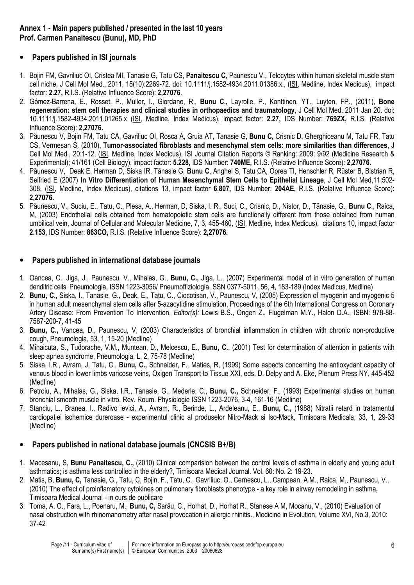#### Annex 1 - Main papers published / presented in the last 10 years Prof. Carmen Panaitescu (Bunu), MD, PhD

### • Papers published in ISI journals

- 1. Bojin FM, Gavriliuc OI, Cristea MI, Tanasie G, Tatu CS, Panaitescu C, Paunescu V., Telocytes within human skeletal muscle stem cell niche, J Cell Mol Med., 2011, 15(10):2269-72. doi: 10.1111/j.1582-4934.2011.01386.x., (ISI, Medline, Index Medicus), impact factor: 2.27, R.I.S. (Relative Influence Score): 2,27076.
- 2. Gómez-Barrena, E., Rosset, P., Müller, I., Giordano, R., Bunu C., Layrolle, P., Konttinen, YT., Luyten, FP., (2011), Bone regeneration: stem cell therapies and clinical studies in orthopaedics and traumatology, J Cell Mol Med. 2011 Jan 20. doi: 10.1111/j.1582-4934.2011.01265.x (ISI, Medline, Index Medicus), impact factor: 2.27, IDS Number: 769ZX, R.I.S. (Relative Influence Score): 2,27076.
- 3. Păunescu V, Bojin FM, Tatu CA, Gavriliuc OI, Rosca A, Gruia AT, Tanasie G, Bunu C, Crisnic D, Gherghiceanu M, Tatu FR, Tatu CS, Vermesan S. (2010), Tumor-associated fibroblasts and mesenchymal stem cells: more similarities than differences, J Cell Mol Med., 20:1-12, (ISI, Medline, Index Medicus), ISI Journal Citation Reports © Ranking: 2009: 9/92 (Medicine Research & Experimental); 41/161 (Cell Biology), impact factor: 5.228, IDS Number: 740ME, R.I.S. (Relative Influence Score): 2,27076.
- 4. Păunescu V, Deak E, Herman D, Siska IR, Tănasie G, Bunu C, Anghel S, Tatu CA, Oprea TI, Henschler R, Rüster B, Bistrian R, Seifried E (2007) In Vitro Differentiation of Human Mesenchymal Stem Cells to Epithelial Lineage, J Cell Mol Med,11:502-308, (ISI, Medline, Index Medicus), citations 13, impact factor 6.807, IDS Number: 204AE, R.I.S. (Relative Influence Score): 2,27076.
- 5. Păunescu, V., Suciu, E., Tatu, C., Plesa, A., Herman, D, Siska, I. R., Suci, C., Crisnic, D., Nistor, D., Tănasie, G., Bunu C., Raica, M, (2003) Endothelial cells obtained from hematopoietic stem cells are functionally different from those obtained from human umbilical vein, Journal of Cellular and Molecular Medicine, 7, 3, 455-460, (ISI, Medline, Index Medicus), citations 10, impact factor 2.153, IDS Number: 863CO, R.I.S. (Relative Influence Score): 2,27076.

### • Papers published in international database journals

- 1. Oancea, C., Jiga, J., Paunescu, V., Mihalas, G., Bunu, C., Jiga, L., (2007) Experimental model of in vitro generation of human denditric cells. Pneumologia, ISSN 1223-3056/ Pneumoftiziologia, SSN 0377-5011, 56, 4, 183-189 (Index Medicus, Medline)
- 2. Bunu, C., Siska, I., Tanasie, G., Deak, E., Tatu, C., Ciocotisan, V., Paunescu, V, (2005) Expression of myogenin and myogenic 5 in human adult mesenchymal stem cells after 5-azacytidine stimulation, Proceedings of the 6th International Congress on Coronary Artery Disease: From Prevention To Intervention, Editor(s): Lewis B.S., Ongen Z., Flugelman M.Y., Halon D.A., ISBN: 978-88- 7587-200-7, 41-45
- 3. Bunu, C., Vancea, D., Paunescu, V, (2003) Characteristics of bronchial inflammation in children with chronic non-productive cough, Pneumologia, 53, 1, 15-20 (Medline)
- 4. Mihaicuta, S., Tudorache, V.M., Muntean, D., Melcescu, E., Bunu, C., (2001) Test for determination of attention in patients with sleep apnea syndrome, Pneumologia, L, 2, 75-78 (Medline)
- 5. Siska, I.R., Avram, J, Tatu, C., Bunu, C., Schneider, F., Maties, R, (1999) Some aspects concerning the antioxydant capacity of venous blood in lower limbs varicose veins, Oxigen Transport to Tissue XXI, eds. D. Delpy and A. Eke, Plenum Press NY, 445-452 (Medline)
- 6. Petroiu, A., Mihalas, G., Siska, I.R., Tanasie, G., Mederle, C., Bunu, C., Schneider, F., (1993) Experimental studies on human bronchial smooth muscle in vitro, Rev. Roum. Physiologie ISSN 1223-2076, 3-4, 161-16 (Medline)
- 7. Stanciu, L., Branea, I., Radivo ievici, A., Avram, R., Berinde, L., Ardeleanu, E., Bunu, C., (1988) Nitratii retard in tratamentul cardiopatiei ischemice dureroase - experimentul clinic al produselor Nitro-Mack si Iso-Mack, Timisoara Medicala, 33, 1, 29-33 (Medline)

### • Papers published in national database journals (CNCSIS B+/B)

- 1. Macesanu, S, Bunu Panaitescu, C., (2010) Clinical comparision between the control levels of asthma in elderly and young adult asthmatics; is asthma less controlled in the elderly?, Timisoara Medical Journal. Vol. 60: No. 2: 19-23.
- 2. Matis, B, Bunu, C, Tanasie, G., Tatu, C, Bojin, F., Tatu, C., Gavriliuc, O., Cernescu, L., Campean, A M., Raica, M., Paunescu, V., (2010) The effect of proinflamatory cytokines on pulmonary fibroblasts phenotype - a key role in airway remodeling in asthma, Timisoara Medical Journal - in curs de publicare
- 3. Toma, A. O., Fara, L., Poenaru, M., Bunu, C, Sarău, C., Horhat, D., Horhat R., Stanese A M, Mocanu, V., (2010) Evaluation of nasal obstruction with rhinomanometry after nasal provocation in allergic rhinitis., Medicine in Evolution, Volume XVI, No.3, 2010: 37-42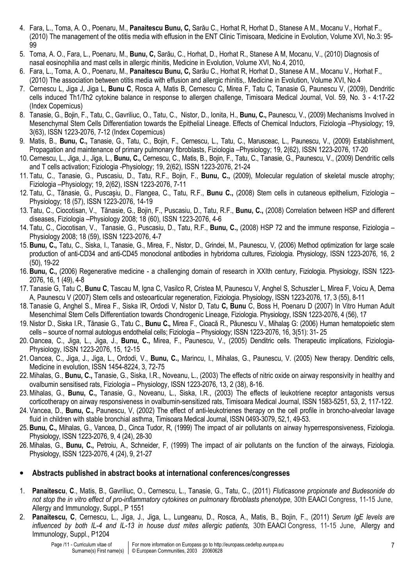- 4. Fara, L., Toma, A. O., Poenaru, M., Panaitescu Bunu, C, Sarău C., Horhat R, Horhat D., Stanese A M., Mocanu V., Horhat F., (2010) The management of the otitis media with effusion in the ENT Clinic Timisoara, Medicine in Evolution, Volume XVI, No.3: 95- 99
- 5. Toma, A. O., Fara, L., Poenaru, M., Bunu, C, Sarău, C., Horhat, D., Horhat R., Stanese A M, Mocanu, V., (2010) Diagnosis of nasal eosinophilia and mast cells in allergic rhinitis, Medicine in Evolution, Volume XVI, No.4, 2010,
- 6. Fara, L., Toma, A. O., Poenaru, M., Panaitescu Bunu, C, Sarău C., Horhat R, Horhat D., Stanese A M., Mocanu V., Horhat F., (2010) The association between otitis media with effusion and allergic rhinitis,. Medicine in Evolution, Volume XVI, No.4
- 7. Cernescu L, Jiga J, Jiga L, Bunu C, Rosca A, Matis B, Cernescu C, Mirea F, Tatu C, Tanasie G, Paunescu V, (2009), Dendritic cells induced Th1/Th2 cytokine balance in response to allergen challenge, Timisoara Medical Journal, Vol. 59, No. 3 - 4:17-22 (Index Copernicus)
- 8. Tanasie, G., Bojin, F., Tatu, C., Gavriliuc, O., Tatu, C., Nistor, D., Ionita, H., Bunu, C., Paunescu, V., (2009) Mechanisms Involved in Mesenchymal Stem Cells Differentiation towards the Epithelial Lineage. Effects of Chemical Inductors, Fiziologia –Physiology; 19, 3(63), ISSN 1223-2076, 7-12 (Index Copernicus)
- 9. Matis, B., Bunu, C., Tanasie, G., Tatu, C., Bojin, F., Cernescu, L., Tatu, C., Marusceac, L., Paunescu, V., (2009) Establishment, Propagation and maintenance of primary pulmonary fibroblasts, Fiziologia –Physiology; 19, 2(62), ISSN 1223-2076, 17-20
- 10. Cernescu, L., Jiga, J., Jiga, L., Bunu, C., Cernescu, C., Matis, B., Bojin, F., Tatu, C., Tanasie, G., Paunescu, V., (2009) Dendritic cells and T cells activation; Fiziologia -Physiology; 19, 2(62), ISSN 1223-2076, 21-24
- 11. Tatu, C., Tanasie, G., Puscasiu, D., Tatu, R.F., Bojin, F., Bunu, C., (2009), Molecular regulation of skeletal muscle atrophy; Fiziologia –Physiology; 19, 2(62), ISSN 1223-2076, 7-11
- 12. Tatu, C., Tănasie, G., Puscaşiu, D., Flangea, C., Tatu, R.F., Bunu C., (2008) Stem cells in cutaneous epithelium, Fiziologia Physiology; 18 (57), ISSN 1223-2076, 14-19
- 13. Tatu, C., Ciocotisan, V., Tănasie, G., Bojin, F., Puscasiu, D., Tatu, R.F., Bunu, C., (2008) Correlation between HSP and different diseases, Fiziologia –Physiology 2008; 18 (60), ISSN 1223-2076, 4-6
- 14. Tatu, C., Ciocotisan, V., Tanasie, G., Puscasiu, D., Tatu, R.F., Bunu, C., (2008) HSP 72 and the immune response, Fiziologia Physiology 2008; 18 (59), ISSN 1223-2076, 4-7
- 15. Bunu, C., Tatu, C., Siska, I., Tanasie, G., Mirea, F., Nistor, D., Grindei, M., Paunescu, V, (2006) Method optimization for large scale production of anti-CD34 and anti-CD45 monoclonal antibodies in hybridoma cultures, Fiziologia. Physiology, ISSN 1223-2076, 16, 2 (50), 19-22
- 16. Bunu, C., (2006) Regenerative medicine a challenging domain of research in XXIth century, Fiziologia. Physiology, ISSN 1223- 2076, 16, 1 (49), 4-8
- 17. Tanasie G, Tatu C, Bunu C, Tascau M, Igna C, Vasilco R, Cristea M, Paunescu V, Anghel S, Schuszler L, Mirea F, Voicu A, Dema A, Paunescu V (2007) Stem cells and osteoarticular regeneration, Fiziologia. Physiology, ISSN 1223-2076, 17, 3 (55), 8-11
- 18. Tanasie G, Anghel S., Mirea F., Siska IR, Ordodi V, Nistor D, Tatu C, Bunu C, Boss H, Poenaru D (2007) In Vitro Human Adult Mesenchimal Stem Cells Differentiation towards Chondrogenic Lineage, Fiziologia. Physiology, ISSN 1223-2076, 4 (56), 17
- 19. Nistor D., Siska I.R., Tănasie G., Tatu C., Bunu C., Mirea F., Cioacă R., Păunescu V., Mihalaş G: (2006) Human hematopoietic stem cells – source of normal autologus endothelial cells; Fiziologia – Physiology; ISSN 1223-2076, 16, 3(51): 31- 25
- 20. Oancea, C., Jiga, L., Jiga, J., Bunu, C., Mirea, F., Paunescu, V., (2005) Denditric cells. Therapeutic implications, Fiziologia-Physiology, ISSN 1223-2076, 15, 12-15
- 21.Oancea, C., Jiga, J., Jiga, L., Ordodi, V., Bunu, C., Marincu, I., Mihalas, G., Paunescu, V. (2005) New therapy. Denditric cells, Medicine in evolution, ISSN 1454-8224, 3, 72-75
- 22.Mihalas, G., Bunu, C., Tanasie, G., Siska, I.R., Noveanu, L., (2003) The effects of nitric oxide on airway responsivity in healthy and ovalbumin sensitised rats, Fiziologia – Physiology, ISSN 1223-2076, 13, 2 (38), 8-16.
- 23.Mihalas, G., Bunu, C., Tanasie, G., Noveanu, L., Siska, I.R., (2003) The effects of leukotriene receptor antagonists versus corticotherapy on airway responsiveness in ovalbumin-sensitized rats, Timisoara Medical Journal, ISSN 1583-5251, 53, 2, 117-122.
- 24. Vancea, D., Bunu, C., Paunescu, V, (2002) The effect of anti-leukotrienes therapy on the cell profile in broncho-alveolar lavage fluid in children with stable bronchial asthma, Timisoara Medical Journal, ISSN 0493-3079, 52,1, 49-53.
- 25. Bunu, C., Mihalas, G., Vancea, D., Cinca Tudor, R, (1999) The impact of air pollutants on airway hyperresponsiveness, Fiziologia. Physiology, ISSN 1223-2076, 9, 4 (24), 28-30
- 26.Mihalas, G., Bunu, C., Petroiu, A., Schneider, F, (1999) The impact of air pollutants on the function of the airways, Fiziologia. Physiology, ISSN 1223-2076, 4 (24), 9, 21-27

#### • Abstracts published in abstract books at international conferences/congresses

- 1. Panaitescu, C., Matis, B., Gavriliuc, O., Cernescu, L., Tanasie, G., Tatu, C., (2011) Fluticasone propionate and Budesonide do not stop the in vitro effect of pro-inflammatory cytokines on pulmonary fibroblasts phenotype, 30th EAACI Congress, 11-15 June, Allergy and Immunology, Suppl., P 1551
- 2. Panaitescu, C, Cernescu, L., Jiga, J., Jiga, L., Lungeanu, D., Rosca, A., Matis, B., Bojin, F., (2011) Serum IgE levels are influenced by both IL-4 and IL-13 in house dust mites allergic patients, 30th EAACI Congress, 11-15 June, Allergy and Immunology, Suppl., P1204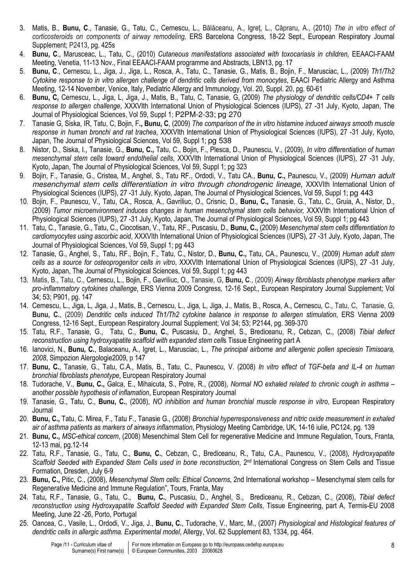- 3. Matis, B., Bunu, C., Tanasie, G., Tatu, C., Cernescu, L., Bălăceanu, A., Igreț, L., Căpraru, A., (2010) The in vitro effect of corticosteroids on components of airway remodeling, ERS Barcelona Congress, 18-22 Sept., European Respiratory Journal Supplement; P2413, pg. 425s
- 4. Bunu, C., Marusceac, L., Tatu, C., (2010) Cutaneous manifestations associated with toxocariasis in children, EEAACI-FAAM Meeting, Venetia, 11-13 Nov., Final EEAACI-FAAM programme and Abstracts, LBN13, pg. 17
- 5. Bunu, C., Cernescu, L., Jiga, J., Jiga, L., Rosca, A., Tatu, C., Tanasie, G., Matis, B., Bojin, F., Marusciac, L., (2009) Th1/Th2 Cytokine response to in vitro allergen challenge of dendritic cells derived from monocytes, EAACI Pediatric Allergy and Asthma Meeting, 12-14 November, Venice, Italy, Pediatric Allergy and Immunology, Vol. 20, Suppl. 20, pg. 60-61
- 6. Bunu, C, Cernescu, L., Jiga, L, Jiga, J., Matis, B., Tatu, C, Tanasie, G, (2009) The physiology of dendritic cells/CD4+ T cells response to allergen challenge, XXXVIth International Union of Physiological Sciences (IUPS), 27 -31 July, Kyoto, Japan, The Journal of Physiological Sciences, Vol 59, Suppl 1; P2PM-2-33; pg 270
- 7. Tanasie G, Siska, IR, Tatu, C, Bojin, F., Bunu, C, (2009) The comparison of the in vitro histamine induced airways smooth muscle response in human bronchi and rat trachea, XXXVIth International Union of Physiological Sciences (IUPS), 27 -31 July, Kyoto, Japan, The Journal of Physiological Sciences, Vol 59, Suppl 1; pg 538
- 8. Nistor, D., Siska, I., Tanasie, G., Bunu, C., Tatu, C., Bojin, F., Plesca, D., Paunescu, V., (2009), In vitro differentiation of human mesenchymal stem cells toward endothelial cells, XXXVIth International Union of Physiological Sciences (IUPS), 27 -31 July, Kyoto, Japan, The Journal of Physiological Sciences, Vol 59, Suppl 1; pg 323
- 9. Bojin, F., Tanasie, G., Cristea, M., Anghel, S., Tatu RF., Ordodi, V., Tatu CA., Bunu, C., Paunescu, V., (2009) Human adult mesenchymal stem cells differentiation in vitro through chondrogenic lineage, XXXVIth International Union of Physiological Sciences (IUPS), 27 -31 July, Kyoto, Japan, The Journal of Physiological Sciences, Vol 59, Suppl 1; pg 443
- 10. Bojin, F., Paunescu, V., Tatu, CA., Rosca, A., Gavriliuc, O., Crisnic, D., Bunu, C., Tanasie, G., Tatu, C., Gruia, A., Nistor, D., (2009) Tumor microenvironment induces changes in human mesenchymal stem cells behavior, XXXVIth International Union of Physiological Sciences (IUPS), 27 -31 July, Kyoto, Japan, The Journal of Physiological Sciences, Vol 59, Suppl 1; pg 443
- 11. Tatu, C., Tanasie, G., Tatu, C., Ciocotisan, V., Tatu, RF., Puscasiu, D., Bunu, C., (2009) Mesenchymal stem cells differentiation to cardiomyocytes using ascorbic acid, XXXVIth International Union of Physiological Sciences (IUPS), 27 -31 July, Kyoto, Japan, The Journal of Physiological Sciences, Vol 59, Suppl 1; pg 443
- 12. Tanasie, G., Anghel, S., Tatu, RF., Bojin, F., Tatu, C., Nistor, D., Bunu, C., Tatu, CA., Paunescu, V., (2009) Human adult stem cells as a source for osteoprogenitor cells in vitro, XXXVIth International Union of Physiological Sciences (IUPS), 27 -31 July, Kyoto, Japan, The Journal of Physiological Sciences, Vol 59, Suppl 1; pg 443
- 13. Matis, B., Tatu, C., Cernescu, L., Bojin, F., Gavriliuc, O., Tanasie, G, Bunu, C., (2009) Airway fibroblasts phenotype markers after pro-inflammatory cytokines challenge, ERS Vienna 2009 Congress, 12-16 Sept., European Respiratory Journal Supplement; Vol 34; 53; P901, pg. 147
- 14. Cernescu, L., Jiga, L, Jiga, J., Matis, B., Cernescu, L., Jiga, L, Jiga, J., Matis, B., Rosca, A., Cernescu, C., Tatu, C, Tanasie, G, Bunu, C., (2009) Dendritic cells induced Th1/Th2 cytokine balance in response to allergen stimulation, ERS Vienna 2009 Congress, 12-16 Sept., European Respiratory Journal Supplement; Vol 34; 53; P2144, pg. 369-370
- 15. Tatu, R.F., Tanasie, G., Tatu, C., Bunu, C., Puscasiu, D., Anghel, S., Brediceanu, R., Cebzan, C., (2008) Tibial defect reconstruction using hydroxyapatite scaffold with expanded stem cells Tissue Engineering part A
- 16. Ianovici, N., Bunu, C., Balaceanu, A., Igret, L., Marusciac, L., The principal airborne and allergenic pollen speciesin Timisoara, 2008, Simpozion Alergologie2009, p 147
- 17. Bunu, C., Tanasie, G., Tatu, C.A., Matis, B., Tatu, C., Paunescu, V. (2008) In vitro effect of TGF-beta and IL-4 on human bronchial fibroblasts phenotype, European Respiratory Journal
- 18. Tudorache, V., Bunu, C., Galca, E., Mihaicuta, S., Potre, R., (2008), Normal NO exhaled related to chronic cough in asthma another possible hypothesis of inflamation, European Respiratory Journal
- 19. Tanasie, G., Tatu, C., Bunu, C., (2008), NO inhibition and human bronchial muscle response in vitro, European Respiratory Journal
- 20. Bunu, C., Tatu, C. Mirea, F., Tatu F., Tanasie G., (2008) Bronchial hyperresponsiveness and nitric oxide measurement in exhaled air of asthma patients as markers of airways inflammation, Physiology Meeting Cambridge, UK, 14-16 iulie, PC124, pg. 139
- 21. Bunu, C., MSC-ethical concern, (2008) Mesenchimal Stem Cell for regenerative Medicine and Immune Regulation, Tours, Franta, 12-13 mai, pg.12-14
- 22. Tatu, R.F., Tanasie, G., Tatu, C., Bunu, C., Cebzan, C., Brediceanu, R., Tatu, C.A., Paunescu, V., (2008), Hydroxyapatite Scaffold Seeded with Expanded Stem Cells used in bone reconstruction, 2<sup>nd</sup> International Congress on Stem Cells and Tissue Formation, Dresden, July 6-9
- 23. Bunu, C., Pitic, C., (2008), Mesenchymal Stem cells: Ethical Concerns, 2nd International workshop Mesenchymal stem cells for Regenerative Medicine and Immune Regulation", Tours, Franta, May
- 24. Tatu, R.F., Tanasie, G., Tatu, C., Bunu, C., Puscasiu, D., Anghel, S., Brediceanu, R., Cebzan, C., (2008), Tibial defect reconstruction using Hydroxyapatite Scaffold Seeded with Expanded Stem Cells, Tissue Engineering, part A, Termis-EU 2008 Meeting, June 22 -26, Porto, Portugal
- 25. Oancea, C., Vasile, L., Ordodi, V., Jiga, J., Bunu, C., Tudorache, V., Marc, M., (2007) Physiological and Histological features of dendritic cells in allergic asthma. Experimental model, Allergy, Vol. 62 Supplement 83, 1334, pg. 464.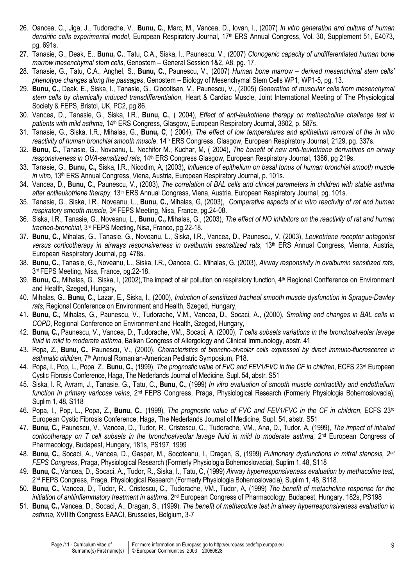- 26. Oancea, C., Jiga, J., Tudorache, V., Bunu, C., Marc, M., Vancea, D., Iovan, I., (2007) In vitro generation and culture of human dendritic cells experimental model, European Respiratory Journal, 17th ERS Annual Congress, Vol. 30, Supplement 51, E4073, pg. 691s.
- 27. Tanasie, G., Deak, E., Bunu, C., Tatu, C.A., Siska, I., Paunescu, V., (2007) Clonogenic capacity of undifferentiated human bone marrow mesenchymal stem cells, Genostem – General Session 1&2, A8, pg. 17.
- 28. Tanasie, G., Tatu, C.A., Anghel, S., Bunu, C., Paunescu, V., (2007) Human bone marrow derived mesenchimal stem cells' phenotype changes along the passages, Genostem – Biology of Mesenchymal Stem Cells WP1, WP1-5, pg. 13.
- 29. Bunu, C., Deak, E., Siska, I., Tanasie, G., Ciocotisan, V., Paunescu, V., (2005) Generation of muscular cells from mesenchymal stem cells by chemically induced transdifferentiation, Heart & Cardiac Muscle, Joint International Meeting of The Physiological Society & FEPS, Bristol, UK, PC2, pg.86.
- 30. Vancea, D., Tanasie, G., Siska, I.R., Bunu, C., ( 2004), Effect of anti-leukotriene therapy on methacholine challenge test in patients with mild asthma, 14<sup>th</sup> ERS Congress, Glasgow, European Respiratory Journal, 3602, p. 587s.
- 31. Tanasie, G., Siska, I.R., Mihalas, G., Bunu, C, ( 2004), The effect of low temperatures and epithelium removal of the in vitro reactivity of human bronchial smooth muscle, 14<sup>th</sup> ERS Congress, Glasgow, European Respiratory Journal, 2129, pg. 337s.
- 32. Bunu, C., Tanasie, G., Noveanu, L. Nechifor M., Kuchar, M. (2004), The benefit of new anti-leukotriene derivatives on airway responsiveness in OVA-sensitized rats, 14<sup>th</sup> ERS Congress Glasgow, European Respiratory Journal, 1386, pg 219s.
- 33. Tanasie, G., Bunu, C., Siska, I.R., Nicodim, A, (2003), Influence of epithelium on basal tonus of human bronchial smooth muscle in vitro, 13<sup>th</sup> ERS Annual Congress, Viena, Austria, European Respiratory Journal, p. 101s.
- 34. Vancea, D., Bunu, C., Paunescu, V., (2003), The correlation of BAL cells and clinical parameters in children with stable asthma after antileukotriene therapy, 13<sup>th</sup> ERS Annual Congress, Viena, Austria, European Respiratory Journal, pg. 101s.
- 35. Tanasie, G., Siska, I.R., Noveanu, L., Bunu, C., Mihalas, G, (2003), Comparative aspects of in vitro reactivity of rat and human respiratory smooth muscle, 3rd FEPS Meeting, Nisa, France, pg.24-08.
- 36. Siska, I.R., Tanasie, G., Noveanu, L., Bunu, C., Mihalas, G., (2003), The effect of NO inhibitors on the reactivity of rat and human tracheo-bronchial, 3rd FEPS Meeting, Nisa, France, pg.22-18.
- 37. Bunu, C., Mihalas, G., Tanasie, G., Noveanu, L., Siska, I.R., Vancea, D., Paunescu, V, (2003), Leukotriene receptor antagonist versus corticotherapy in airways responsiveness in ovalbumin sesnsitized rats, 13th ERS Annual Congress, Vienna, Austria, European Respiratory Journal, pg. 478s.
- 38. Bunu, C., Tanasie, G., Noveanu, L., Siska, I.R., Oancea, C., Mihalas, G, (2003), Airway responsivity in ovalbumin sensitized rats, 3 rd FEPS Meeting, Nisa, France, pg.22-18.
- 39. Bunu, C., Mihalas, G., Siska, I, (2002), The impact of air pollution on respiratory function, 4<sup>th</sup> Regional Confference on Environment and Health, Szeged, Hungary,
- 40. Mihalas, G., Bunu, C., Lazar, E., Siska, I., (2000), Induction of sensitized tracheal smooth muscle dysfunction in Sprague-Dawley rats, Regional Conference on Environment and Health, Szeged, Hungary,
- 41. Bunu, C., Mihalas, G., Paunescu, V., Tudorache, V.M., Vancea, D., Socaci, A., (2000), Smoking and changes in BAL cells in COPD, Regional Conference on Environment and Health, Szeged, Hungary,
- 42. Bunu, C., Paunescu, V., Vancea, D., Tudorache, VM., Socaci, A, (2000), T cells subsets variations in the bronchoalveolar lavage fluid in mild to moderate asthma, Balkan Congress of Allergology and Clinical Immunology, abstr. 41
- 43. Popa, Z., Bunu, C., Paunescu, V., (2000), Characteristics of broncho-alveolar cells expressed by direct immuno-fluorescence in asthmatic children, 7<sup>th</sup> Annual Romanian-American Pediatric Symposium, P18.
- 44. Popa, I., Pop, L., Popa, Z., Bunu, C., (1999), The prognostic value of FVC and FEV1/FVC in the CF in children, ECFS 23<sup>rd</sup> European Cystic Fibrosis Conference, Haga, The Nederlands Journal of Medicine, Supl. 54, abstr. S51
- 45. Siska, I. R. Avram, J., Tanasie, G., Tatu, C., Bunu, C., (1999) In vitro evaluation of smooth muscle contractility and endothelium function in primary varicose veins, 2nd FEPS Congress, Praga, Physiological Research (Formerly Physiologia Bohemoslovacia), Suplim 1, 48, S118
- 46. Popa, I., Pop, L., Popa, Z., Bunu, C., (1999), The prognostic value of FVC and FEV1/FVC in the CF in children, ECFS 23<sup>rd</sup> European Cystic Fibrosis Conference, Haga, The Nederlands Journal of Medicine, Supl. 54, abstr. S51
- 47. Bunu, C., Paunescu, V., Vancea, D., Tudor, R., Cristescu, C., Tudorache, VM., Ana, D., Tudor, A, (1999), The impact of inhaled corticotherapy on T cell subsets in the bronchoalveolar lavage fluid in mild to moderate asthma,  $2^{nd}$  European Congress of Pharmacology, Budapest, Hungary, 181s, PS197, 1999
- 48. Bunu, C., Socaci, A., Vancea, D., Gaspar, M., Socoteanu, I., Dragan, S. (1999) Pulmonary dysfunctions in mitral stenosis, 2<sup>nd</sup> FEPS Congress, Praga, Physiological Research (Formerly Physiologia Bohemoslovacia), Suplim 1, 48, S118
- 49. Bunu, C., Vancea, D., Socaci, A., Tudor, R., Siska, I., Tatu, C. (1999) Airway hyperresponsiveness evaluation by methacoline test, 2<sup>nd</sup> FEPS Congress, Praga, Physiological Research (Formerly Physiologia Bohemoslovacia), Suplim 1, 48, S118.
- 50. Bunu, C., Vancea, D., Tudor, R., Cristescu, C., Tudorache, VM., Tudor, A, (1999) The benefit of metacholine response for the initiation of antiinflammatory treatment in asthma, 2<sup>nd</sup> European Congress of Pharmacology, Budapest, Hungary, 182s, PS198
- 51. Bunu, C., Vancea, D., Socaci, A., Dragan, S., (1999), The benefit of methacoline test in airway hyperresponsiveness evaluation in asthma, XVIIIth Congress EAACI, Brusseles, Belgium, 3-7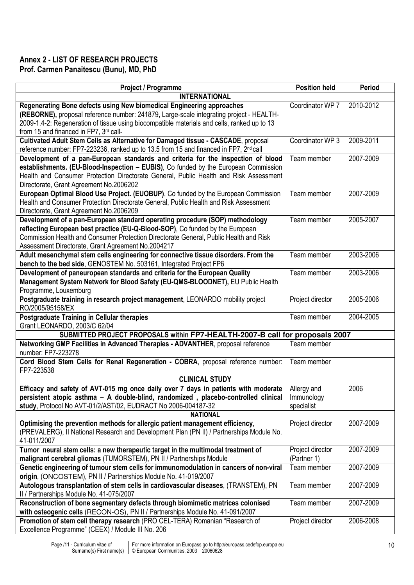## Annex 2 - LIST OF RESEARCH PROJECTS Prof. Carmen Panaitescu (Bunu), MD, PhD

| Project / Programme                                                                                                                                                                                                                                                                                          | <b>Position held</b>            | Period    |  |  |  |
|--------------------------------------------------------------------------------------------------------------------------------------------------------------------------------------------------------------------------------------------------------------------------------------------------------------|---------------------------------|-----------|--|--|--|
| <b>INTERNATIONAL</b>                                                                                                                                                                                                                                                                                         |                                 |           |  |  |  |
| Regenerating Bone defects using New biomedical Engineering approaches<br>(REBORNE), proposal reference number: 241879, Large-scale integrating project - HEALTH-<br>2009-1.4-2: Regeneration of tissue using biocompatible materials and cells, ranked up to 13<br>from 15 and financed in FP7, 3rd call-    | Coordinator WP 7                | 2010-2012 |  |  |  |
| Cultivated Adult Stem Cells as Alternative for Damaged tissue - CASCADE, proposal<br>reference number: FP7-223236, ranked up to 13.5 from 15 and financed in FP7, 2 <sup>nd</sup> call                                                                                                                       | Coordinator WP 3                | 2009-2011 |  |  |  |
| Development of a pan-European standards and criteria for the inspection of blood<br>establishments. (EU-Blood-Inspection - EUBIS), Co funded by the European Commission<br>Health and Consumer Protection Directorate General, Public Health and Risk Assessment<br>Directorate, Grant Agreement No.2006202  | Team member                     | 2007-2009 |  |  |  |
| European Optimal Blood Use Project. (EUOBUP), Co funded by the European Commission<br>Health and Consumer Protection Directorate General, Public Health and Risk Assessment<br>Directorate, Grant Agreement No.2006209                                                                                       | Team member                     | 2007-2009 |  |  |  |
| Development of a pan-European standard operating procedure (SOP) methodology<br>reflecting European best practice (EU-Q-Blood-SOP), Co funded by the European<br>Commission Health and Consumer Protection Directorate General, Public Health and Risk<br>Assessment Directorate, Grant Agreement No.2004217 | Team member                     | 2005-2007 |  |  |  |
| Adult mesenchymal stem cells engineering for connective tissue disorders. From the<br>bench to the bed side, GENOSTEM No. 503161, Integrated Project FP6                                                                                                                                                     | Team member                     | 2003-2006 |  |  |  |
| Development of paneuropean standards and criteria for the European Quality<br>Management System Network for Blood Safety (EU-QMS-BLOODNET), EU Public Health<br>Programme, Louxemburg                                                                                                                        | Team member                     | 2003-2006 |  |  |  |
| Postgraduate training in research project management, LEONARDO mobility project<br>RO/2005/95158/EX                                                                                                                                                                                                          | Project director                | 2005-2006 |  |  |  |
| <b>Postgraduate Training in Cellular therapies</b><br>Grant LEONARDO, 2003/C 62/04                                                                                                                                                                                                                           | Team member                     | 2004-2005 |  |  |  |
| SUBMITTED PROJECT PROPOSALS within FP7-HEALTH-2007-B call for proposals 2007                                                                                                                                                                                                                                 |                                 |           |  |  |  |
| Networking GMP Facilities in Advanced Therapies - ADVANTHER, proposal reference<br>number: FP7-223278                                                                                                                                                                                                        | Team member                     |           |  |  |  |
| Cord Blood Stem Cells for Renal Regeneration - COBRA, proposal reference number:<br>FP7-223538                                                                                                                                                                                                               | Team member                     |           |  |  |  |
| <b>CLINICAL STUDY</b>                                                                                                                                                                                                                                                                                        |                                 |           |  |  |  |
| Efficacy and safety of AVT-015 mg once daily over 7 days in patients with moderate   Allergy and<br>persistent atopic asthma - A double-blind, randomized, placebo-controlled clinical<br>study, Protocol No AVT-01/2/AST/02, EUDRACT No 2006-004187-32                                                      | Immunology<br>specialist        | 2006      |  |  |  |
| <b>NATIONAL</b>                                                                                                                                                                                                                                                                                              |                                 |           |  |  |  |
| Optimising the prevention methods for allergic patient management efficiency,<br>(PREVALERG), II National Research and Development Plan (PN II) / Partnerships Module No.<br>41-011/2007                                                                                                                     | Project director                | 2007-2009 |  |  |  |
| Tumor neural stem cells: a new therapeutic target in the multimodal treatment of<br>malignant cerebral gliomas (TUMORSTEM), PN II / Partnerships Module                                                                                                                                                      | Project director<br>(Partner 1) | 2007-2009 |  |  |  |
| Genetic engineering of tumour stem cells for immunomodulation in cancers of non-viral<br>origin, (ONCOSTEM), PN II / Partnerships Module No. 41-019/2007                                                                                                                                                     | Team member                     | 2007-2009 |  |  |  |
| Autologous transplantation of stem cells in cardiovascular diseases, (TRANSTEM), PN<br>II / Partnerships Module No. 41-075/2007                                                                                                                                                                              | Team member                     | 2007-2009 |  |  |  |
| Reconstruction of bone segmentary defects through biomimetic matrices colonised<br>with osteogenic cells (RECON-OS), PN II / Partnerships Module No. 41-091/2007                                                                                                                                             | Team member                     | 2007-2009 |  |  |  |
| Promotion of stem cell therapy research (PRO CEL-TERA) Romanian "Research of<br>Excellence Programme" (CEEX) / Module III No. 206                                                                                                                                                                            | Project director                | 2006-2008 |  |  |  |